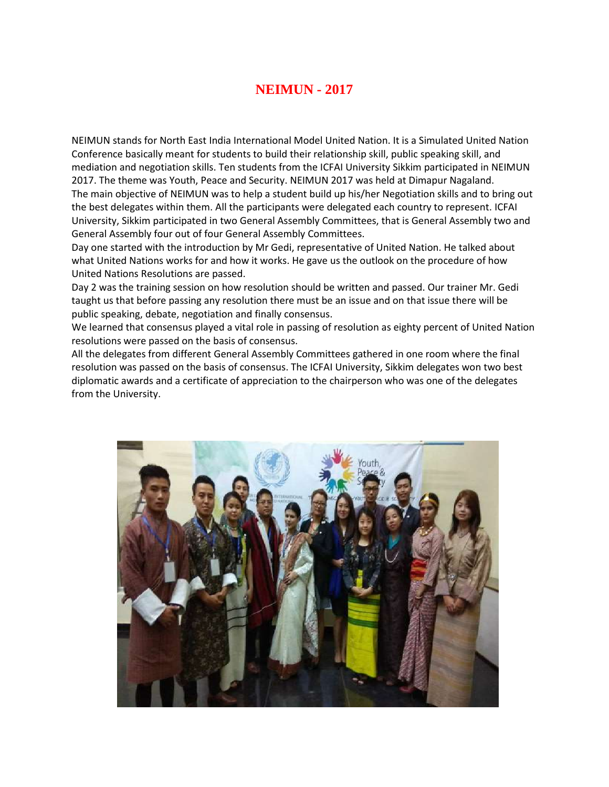## **NEIMUN - 2017**

NEIMUN stands for North East India International Model United Nation. It is a Simulated United Nation Conference basically meant for students to build their relationship skill, public speaking skill, and mediation and negotiation skills. Ten students from the ICFAI University Sikkim participated in NEIMUN 2017. The theme was Youth, Peace and Security. NEIMUN 2017 was held at Dimapur Nagaland. The main objective of NEIMUN was to help a student build up his/her Negotiation skills and to bring out the best delegates within them. All the participants were delegated each country to represent. ICFAI University, Sikkim participated in two General Assembly Committees, that is General Assembly two and General Assembly four out of four General Assembly Committees.

Day one started with the introduction by Mr Gedi, representative of United Nation. He talked about what United Nations works for and how it works. He gave us the outlook on the procedure of how United Nations Resolutions are passed.

Day 2 was the training session on how resolution should be written and passed. Our trainer Mr. Gedi taught us that before passing any resolution there must be an issue and on that issue there will be public speaking, debate, negotiation and finally consensus.

We learned that consensus played a vital role in passing of resolution as eighty percent of United Nation resolutions were passed on the basis of consensus.

All the delegates from different General Assembly Committees gathered in one room where the final resolution was passed on the basis of consensus. The ICFAI University, Sikkim delegates won two best diplomatic awards and a certificate of appreciation to the chairperson who was one of the delegates from the University.

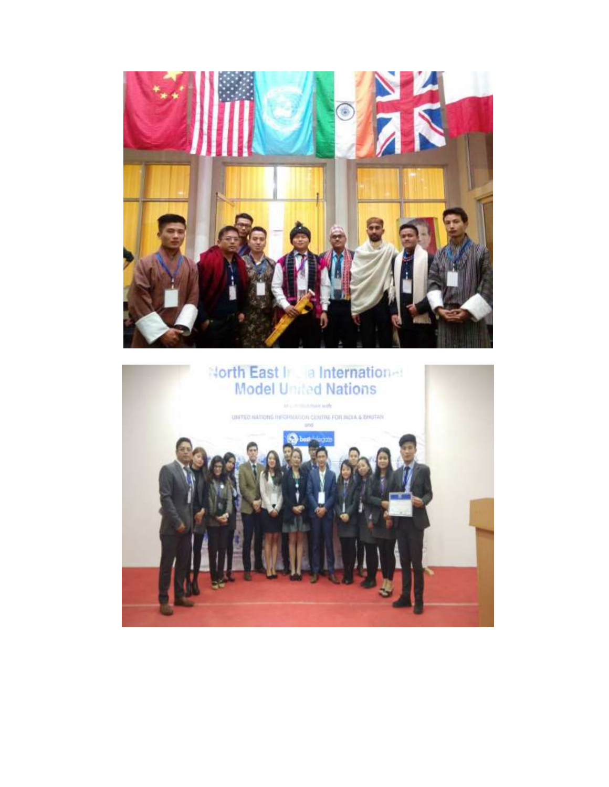

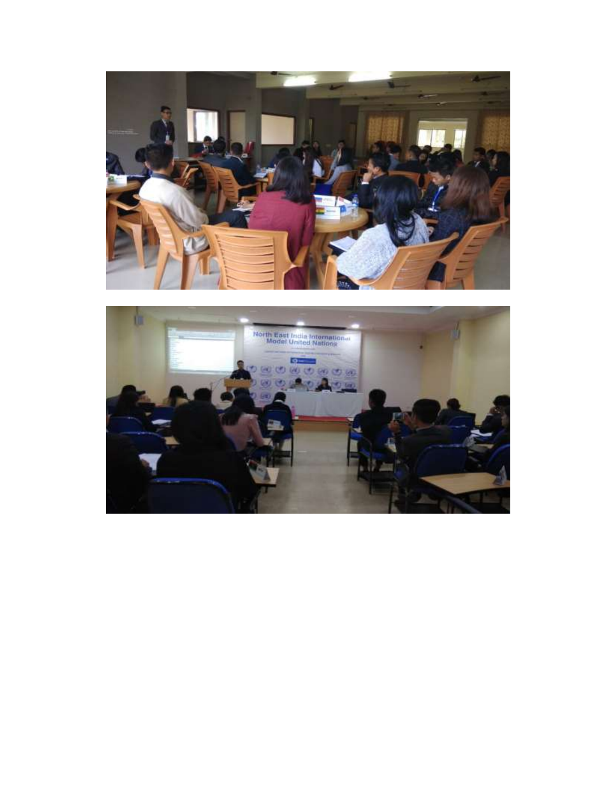